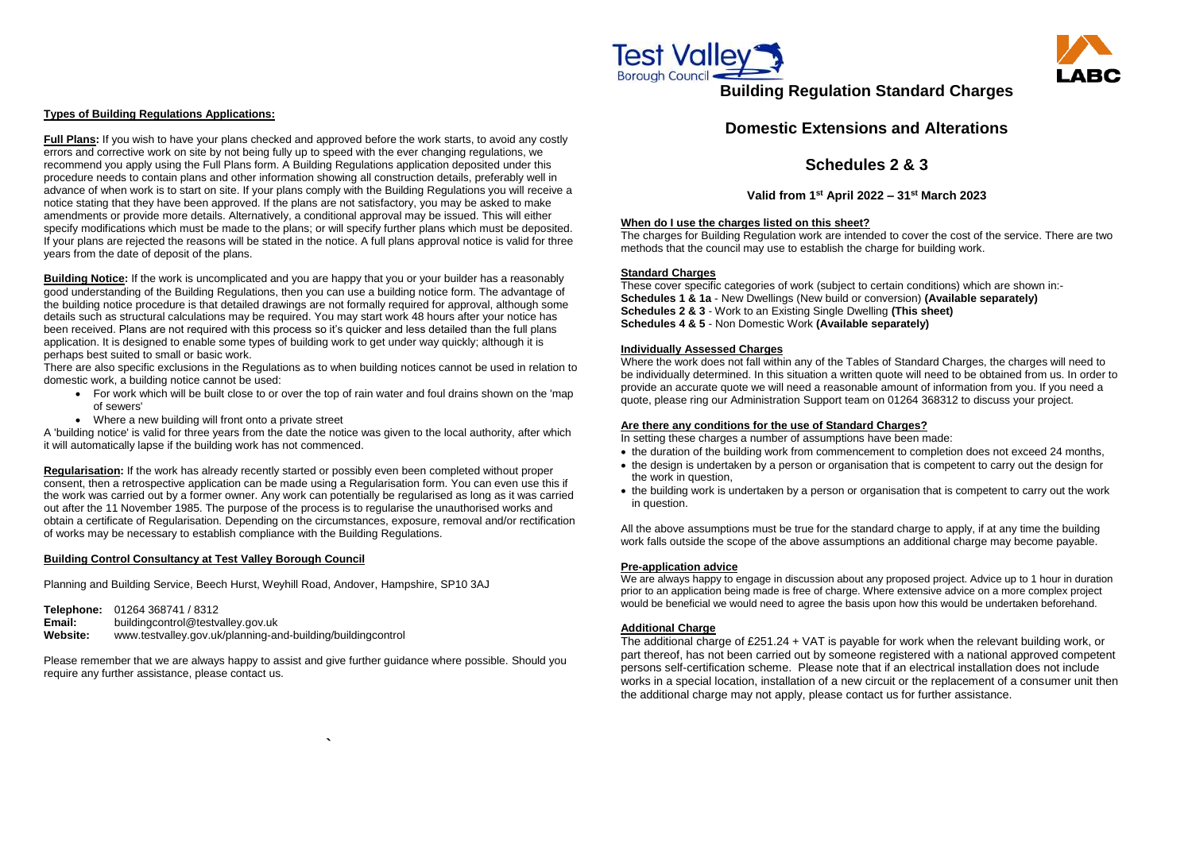### **Types of Building Regulations Applications:**

**Full Plans:** If you wish to have your plans checked and approved before the work starts, to avoid any costly errors and corrective work on site by not being fully up to speed with the ever changing regulations, we recommend you apply using the Full Plans form. A Building Regulations application deposited under this procedure needs to contain plans and other information showing all construction details, preferably well in advance of when work is to start on site. If your plans comply with the Building Regulations you will receive a notice stating that they have been approved. If the plans are not satisfactory, you may be asked to make amendments or provide more details. Alternatively, a conditional approval may be issued. This will either specify modifications which must be made to the plans; or will specify further plans which must be deposited. If your plans are rejected the reasons will be stated in the notice. A full plans approval notice is valid for three years from the date of deposit of the plans.

**Building Notice:** If the work is uncomplicated and you are happy that you or your builder has a reasonably good understanding of the Building Regulations, then you can use a building notice form. The advantage of the building notice procedure is that detailed drawings are not formally required for approval, although some details such as structural calculations may be required. You may start work 48 hours after your notice has been received. Plans are not required with this process so it's quicker and less detailed than the full plans application. It is designed to enable some types of building work to get under way quickly; although it is perhaps best suited to small or basic work.

There are also specific exclusions in the Regulations as to when building notices cannot be used in relation to domestic work, a building notice cannot be used:

- For work which will be built close to or over the top of rain water and foul drains shown on the 'map of sewers'
- Where a new building will front onto a private street

A 'building notice' is valid for three years from the date the notice was given to the local authority, after which it will automatically lapse if the building work has not commenced.

- the duration of the building work from commencement to completion does not exceed 24 months, the design is undertaken by a person or organisation that is competent to carry out the design for the work in question,
- the building work is undertaken by a person or organisation that is competent to carry out the work in question.

**Regularisation:** If the work has already recently started or possibly even been completed without proper consent, then a retrospective application can be made using a Regularisation form. You can even use this if the work was carried out by a former owner. Any work can potentially be regularised as long as it was carried out after the 11 November 1985. The purpose of the process is to regularise the unauthorised works and obtain a certificate of Regularisation. Depending on the circumstances, exposure, removal and/or rectification of works may be necessary to establish compliance with the Building Regulations.

## **Building Control Consultancy at Test Valley Borough Council**

Planning and Building Service, Beech Hurst, Weyhill Road, Andover, Hampshire, SP10 3AJ

**Telephone:** 01264 368741 / 8312 **Email:** [buildingcontrol@testvalley.gov.uk](mailto:buildingcontrol@testvalley.gov.uk) **Website:** www.testvalley.gov.uk/planning-and-building/buildingcontrol

Please remember that we are always happy to assist and give further guidance where possible. Should you require any further assistance, please contact us.

**`**





# **Building Regulation Standard Charges**

# **Domestic Extensions and Alterations**

# **Schedules 2 & 3**

**Valid from 1st April 2022 – 31st March 2023**

## **When do I use the charges listed on this sheet?**

The charges for Building Regulation work are intended to cover the cost of the service. There are two methods that the council may use to establish the charge for building work.

## **Standard Charges**

These cover specific categories of work (subject to certain conditions) which are shown in:- **Schedules 1 & 1a** - New Dwellings (New build or conversion) **(Available separately) Schedules 2 & 3** - Work to an Existing Single Dwelling **(This sheet) Schedules 4 & 5** - Non Domestic Work **(Available separately)**

### **Individually Assessed Charges**

Where the work does not fall within any of the Tables of Standard Charges, the charges will need to be individually determined. In this situation a written quote will need to be obtained from us. In order to provide an accurate quote we will need a reasonable amount of information from you. If you need a quote, please ring our Administration Support team on 01264 368312 to discuss your project.

## **Are there any conditions for the use of Standard Charges?**

In setting these charges a number of assumptions have been made:

All the above assumptions must be true for the standard charge to apply, if at any time the building work falls outside the scope of the above assumptions an additional charge may become payable.

## **Pre-application advice**

We are always happy to engage in discussion about any proposed project. Advice up to 1 hour in duration prior to an application being made is free of charge. Where extensive advice on a more complex project would be beneficial we would need to agree the basis upon how this would be undertaken beforehand.

## **Additional Charge**

The additional charge of £251.24 + VAT is payable for work when the relevant building work, or part thereof, has not been carried out by someone registered with a national approved competent persons self-certification scheme. Please note that if an electrical installation does not include works in a special location, installation of a new circuit or the replacement of a consumer unit then the additional charge may not apply, please contact us for further assistance.